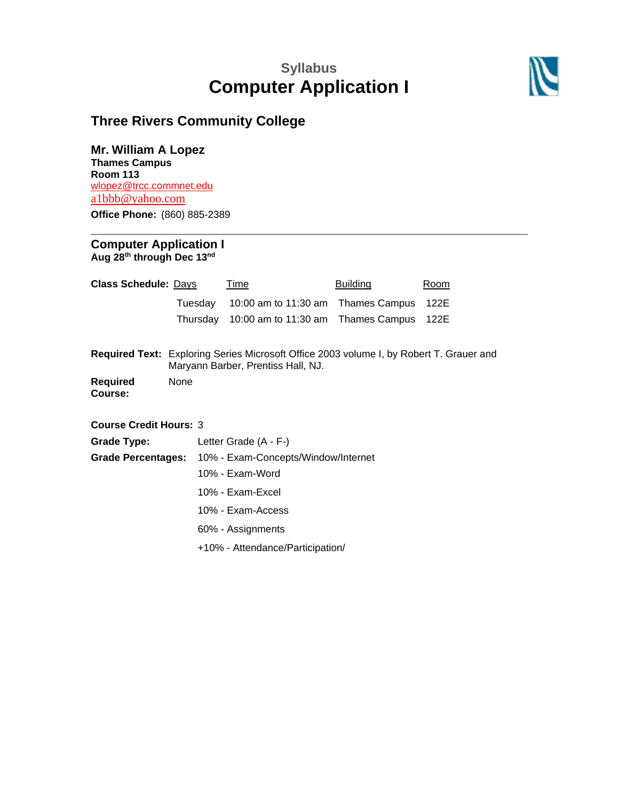# **Syllabus Computer Application I**



## **Three Rivers Community College**

**Mr. William A Lopez Thames Campus**

**Room 113** [wlopez@trcc.commnet.edu](mailto:wlopez@trcc.commnet.edu) a1bbb@yahoo.com

**Office Phone:** (860) 885-2389

#### **Computer Application I Aug 28 th through Dec 13 nd**

| <b>Class Schedule: Days</b>   |                                                                                                                                      | Time                                | <b>Building</b>      | Room |
|-------------------------------|--------------------------------------------------------------------------------------------------------------------------------------|-------------------------------------|----------------------|------|
|                               | Tuesday                                                                                                                              | 10:00 am to 11:30 am                | <b>Thames Campus</b> | 122E |
|                               | Thursday                                                                                                                             | 10:00 am to 11:30 am                | Thames Campus        | 122E |
|                               | <b>Required Text:</b> Exploring Series Microsoft Office 2003 volume I, by Robert T. Grauer and<br>Maryann Barber, Prentiss Hall, NJ. |                                     |                      |      |
| <b>Required</b><br>Course:    | None                                                                                                                                 |                                     |                      |      |
| <b>Course Credit Hours: 3</b> |                                                                                                                                      |                                     |                      |      |
| <b>Grade Type:</b>            |                                                                                                                                      | Letter Grade $(A - F-)$             |                      |      |
| <b>Grade Percentages:</b>     |                                                                                                                                      | 10% - Exam-Concepts/Window/Internet |                      |      |
|                               |                                                                                                                                      | 10% - Exam-Word                     |                      |      |
|                               |                                                                                                                                      | 10% - Exam-Excel                    |                      |      |
|                               |                                                                                                                                      | 10% - Exam-Access                   |                      |      |
|                               |                                                                                                                                      | 60% - Assignments                   |                      |      |
|                               |                                                                                                                                      | +10% - Attendance/Participation/    |                      |      |